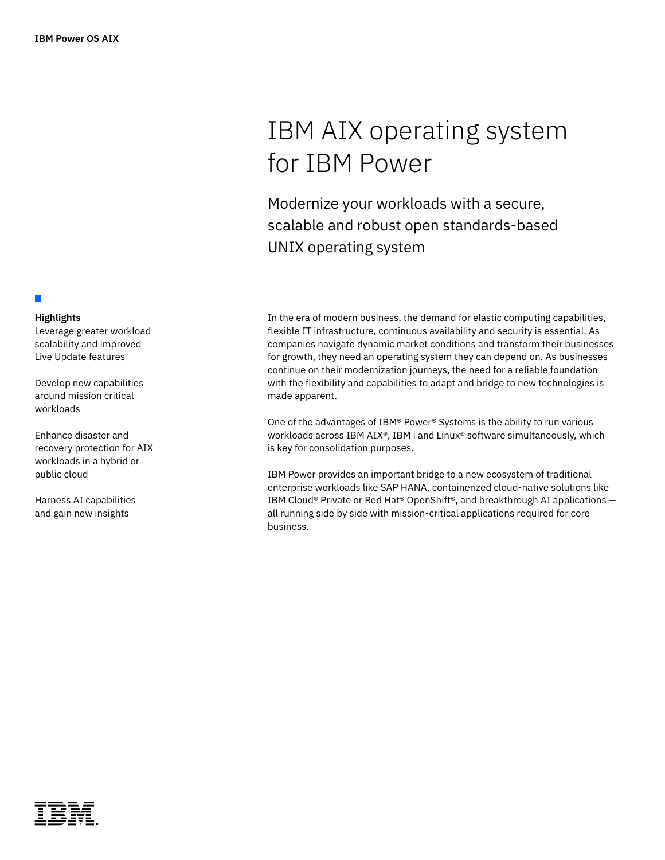## **Highlights**

П

Leverage greater workload scalability and improved Live Update features

Develop new capabilities around mission critical workloads

Enhance disaster and recovery protection for AIX workloads in a hybrid or public cloud

Harness AI capabilities and gain new insights

# IBM AIX operating system for IBM Power

Modernize your workloads with a secure, scalable and robust open standards-based UNIX operating system

In the era of modern business, the demand for elastic computing capabilities, flexible IT infrastructure, continuous availability and security is essential. As companies navigate dynamic market conditions and transform their businesses for growth, they need an operating system they can depend on. As businesses continue on their modernization journeys, the need for a reliable foundation with the flexibility and capabilities to adapt and bridge to new technologies is made apparent.

One of the advantages of IBM® Power® Systems is the ability to run various workloads across IBM AIX®, IBM i and Linux® software simultaneously, which is key for consolidation purposes.

IBM Power provides an important bridge to a new ecosystem of traditional enterprise workloads like SAP HANA, containerized cloud-native solutions like IBM Cloud® Private or Red Hat® OpenShift®, and breakthrough AI applications all running side by side with mission-critical applications required for core business.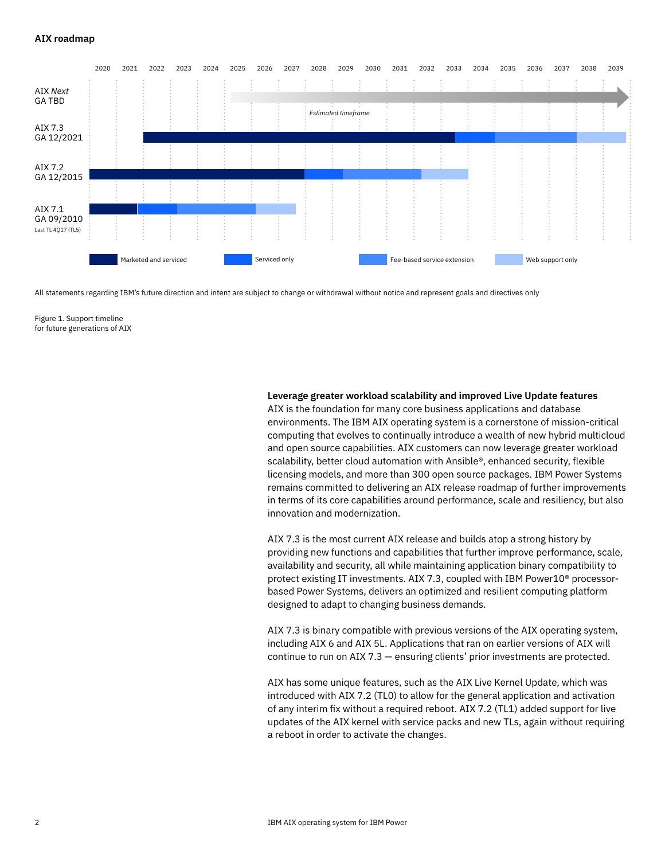

All statements regarding IBM's future direction and intent are subject to change or withdrawal without notice and represent goals and directives only

Figure 1. Support timeline for future generations of AIX

## **Leverage greater workload scalability and improved Live Update features**

AIX is the foundation for many core business applications and database environments. The IBM AIX operating system is a cornerstone of mission-critical computing that evolves to continually introduce a wealth of new hybrid multicloud and open source capabilities. AIX customers can now leverage greater workload scalability, better cloud automation with Ansible®, enhanced security, flexible licensing models, and more than 300 open source packages. IBM Power Systems remains committed to delivering an AIX release roadmap of further improvements in terms of its core capabilities around performance, scale and resiliency, but also innovation and modernization.

AIX 7.3 is the most current AIX release and builds atop a strong history by providing new functions and capabilities that further improve performance, scale, availability and security, all while maintaining application binary compatibility to protect existing IT investments. AIX 7.3, coupled with IBM Power10® processorbased Power Systems, delivers an optimized and resilient computing platform designed to adapt to changing business demands.

AIX 7.3 is binary compatible with previous versions of the AIX operating system, including AIX 6 and AIX 5L. Applications that ran on earlier versions of AIX will continue to run on AIX 7.3 — ensuring clients' prior investments are protected.

AIX has some unique features, such as the AIX Live Kernel Update, which was introduced with AIX 7.2 (TL0) to allow for the general application and activation of any interim fix without a required reboot. AIX 7.2 (TL1) added support for live updates of the AIX kernel with service packs and new TLs, again without requiring a reboot in order to activate the changes.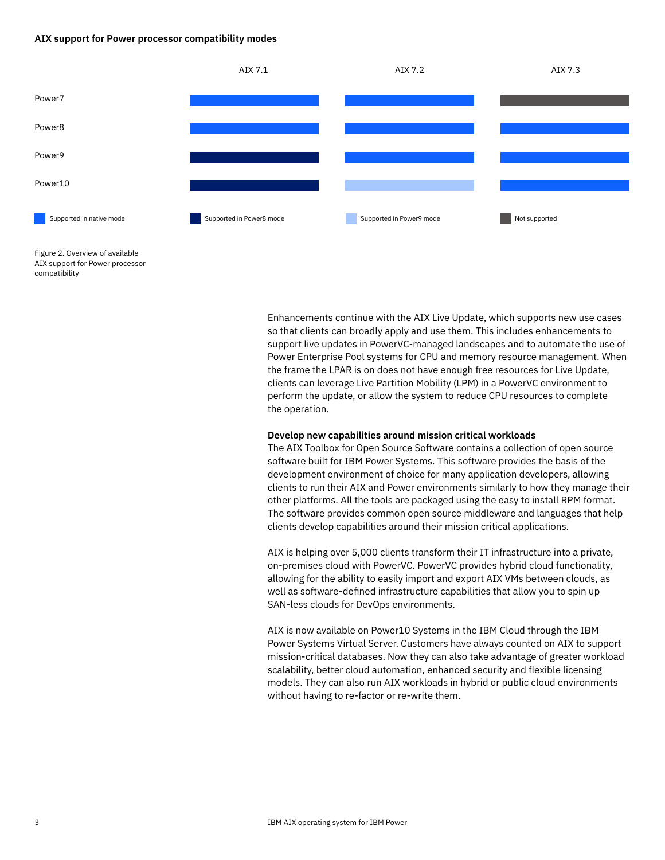#### **AIX support for Power processor compatibility modes**



Figure 2. Overview of available AIX support for Power processor compatibility

> Enhancements continue with the AIX Live Update, which supports new use cases so that clients can broadly apply and use them. This includes enhancements to support live updates in PowerVC-managed landscapes and to automate the use of Power Enterprise Pool systems for CPU and memory resource management. When the frame the LPAR is on does not have enough free resources for Live Update, clients can leverage Live Partition Mobility (LPM) in a PowerVC environment to perform the update, or allow the system to reduce CPU resources to complete the operation.

#### **Develop new capabilities around mission critical workloads**

The AIX Toolbox for Open Source Software contains a collection of open source software built for IBM Power Systems. This software provides the basis of the development environment of choice for many application developers, allowing clients to run their AIX and Power environments similarly to how they manage their other platforms. All the tools are packaged using the easy to install RPM format. The software provides common open source middleware and languages that help clients develop capabilities around their mission critical applications.

AIX is helping over 5,000 clients transform their IT infrastructure into a private, on-premises cloud with PowerVC. PowerVC provides hybrid cloud functionality, allowing for the ability to easily import and export AIX VMs between clouds, as well as software-defined infrastructure capabilities that allow you to spin up SAN-less clouds for DevOps environments.

AIX is now available on Power10 Systems in the IBM Cloud through the IBM Power Systems Virtual Server. Customers have always counted on AIX to support mission-critical databases. Now they can also take advantage of greater workload scalability, better cloud automation, enhanced security and flexible licensing models. They can also run AIX workloads in hybrid or public cloud environments without having to re-factor or re-write them.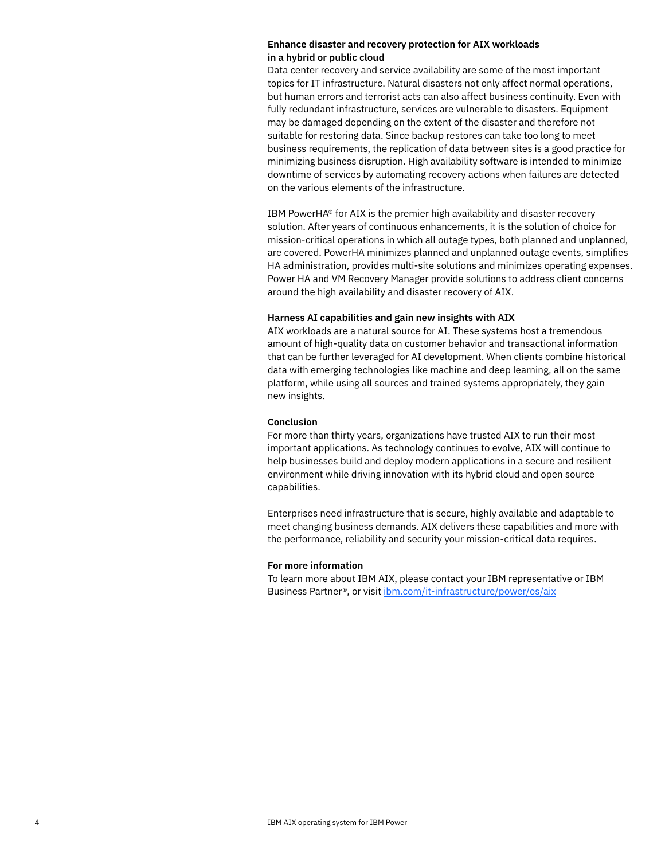## **Enhance disaster and recovery protection for AIX workloads in a hybrid or public cloud**

Data center recovery and service availability are some of the most important topics for IT infrastructure. Natural disasters not only affect normal operations, but human errors and terrorist acts can also affect business continuity. Even with fully redundant infrastructure, services are vulnerable to disasters. Equipment may be damaged depending on the extent of the disaster and therefore not suitable for restoring data. Since backup restores can take too long to meet business requirements, the replication of data between sites is a good practice for minimizing business disruption. High availability software is intended to minimize downtime of services by automating recovery actions when failures are detected on the various elements of the infrastructure.

IBM PowerHA® for AIX is the premier high availability and disaster recovery solution. After years of continuous enhancements, it is the solution of choice for mission-critical operations in which all outage types, both planned and unplanned, are covered. PowerHA minimizes planned and unplanned outage events, simplifies HA administration, provides multi-site solutions and minimizes operating expenses. Power HA and VM Recovery Manager provide solutions to address client concerns around the high availability and disaster recovery of AIX.

## **Harness AI capabilities and gain new insights with AIX**

AIX workloads are a natural source for AI. These systems host a tremendous amount of high-quality data on customer behavior and transactional information that can be further leveraged for AI development. When clients combine historical data with emerging technologies like machine and deep learning, all on the same platform, while using all sources and trained systems appropriately, they gain new insights.

## **Conclusion**

For more than thirty years, organizations have trusted AIX to run their most important applications. As technology continues to evolve, AIX will continue to help businesses build and deploy modern applications in a secure and resilient environment while driving innovation with its hybrid cloud and open source capabilities.

Enterprises need infrastructure that is secure, highly available and adaptable to meet changing business demands. AIX delivers these capabilities and more with the performance, reliability and security your mission-critical data requires.

## **For more information**

To learn more about IBM AIX, please contact your IBM representative or IBM Business Partner®, or visit [ibm.com/it-infrastructure/power/os/aix](http://ibm.com/it-infrastructure/power/os/aix)